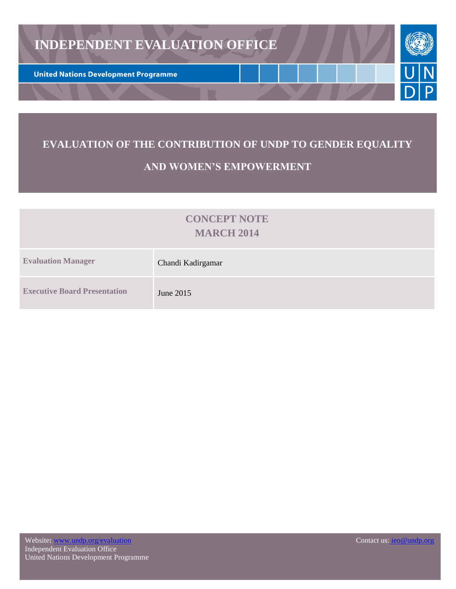

# **EVALUATION OF THE CONTRIBUTION OF UNDP TO GENDER EQUALITY**

# **AND WOMEN'S EMPOWERMENT**

# **CONCEPT NOTE MARCH 2014**

| <b>Evaluation Manager</b>           | Chandi Kadirgamar |
|-------------------------------------|-------------------|
| <b>Executive Board Presentation</b> | June 2015         |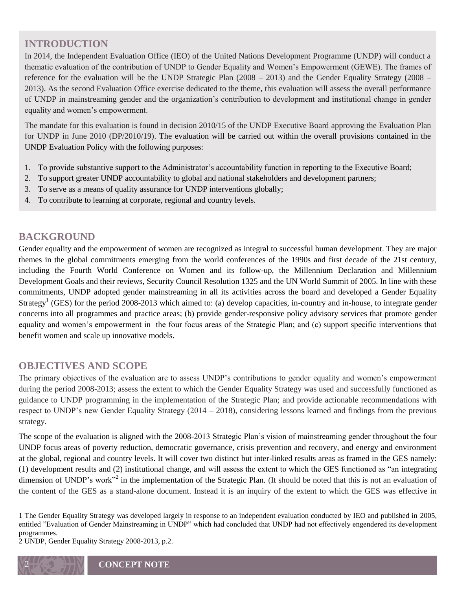# **INTRODUCTION**

In 2014, the Independent Evaluation Office (IEO) of the United Nations Development Programme (UNDP) will conduct a thematic evaluation of the contribution of UNDP to Gender Equality and Women's Empowerment (GEWE). The frames of reference for the evaluation will be the UNDP Strategic Plan (2008 – 2013) and the Gender Equality Strategy (2008 – 2013). As the second Evaluation Office exercise dedicated to the theme, this evaluation will assess the overall performance of UNDP in mainstreaming gender and the organization's contribution to development and institutional change in gender equality and women's empowerment.

The mandate for this evaluation is found in decision 2010/15 of the UNDP Executive Board approving the Evaluation Plan for UNDP in June 2010 (DP/2010/19). The evaluation will be carried out within the overall provisions contained in the UNDP Evaluation Policy with the following purposes:

- 1. To provide substantive support to the Administrator's accountability function in reporting to the Executive Board;
- 2. To support greater UNDP accountability to global and national stakeholders and development partners;
- 3. To serve as a means of quality assurance for UNDP interventions globally;
- 4. To contribute to learning at corporate, regional and country levels.

## **BACKGROUND**

Gender equality and the empowerment of women are recognized as integral to successful human development. They are major themes in the global commitments emerging from the world conferences of the 1990s and first decade of the 21st century, including the Fourth World Conference on Women and its follow-up, the Millennium Declaration and Millennium Development Goals and their reviews, Security Council Resolution 1325 and the UN World Summit of 2005. In line with these commitments, UNDP adopted gender mainstreaming in all its activities across the board and developed a Gender Equality Strategy<sup>1</sup> (GES) for the period 2008-2013 which aimed to: (a) develop capacities, in-country and in-house, to integrate gender concerns into all programmes and practice areas; (b) provide gender-responsive policy advisory services that promote gender equality and women's empowerment in the four focus areas of the Strategic Plan; and (c) support specific interventions that benefit women and scale up innovative models.

### **OBJECTIVES AND SCOPE**

The primary objectives of the evaluation are to assess UNDP's contributions to gender equality and women's empowerment during the period 2008-2013; assess the extent to which the Gender Equality Strategy was used and successfully functioned as guidance to UNDP programming in the implementation of the Strategic Plan; and provide actionable recommendations with respect to UNDP's new Gender Equality Strategy (2014 – 2018), considering lessons learned and findings from the previous strategy.

The scope of the evaluation is aligned with the 2008-2013 Strategic Plan's vision of mainstreaming gender throughout the four UNDP focus areas of poverty reduction, democratic governance, crisis prevention and recovery, and energy and environment at the global, regional and country levels. It will cover two distinct but inter-linked results areas as framed in the GES namely: (1) development results and (2) institutional change, and will assess the extent to which the GES functioned as "an integrating dimension of UNDP's work"<sup>2</sup> in the implementation of the Strategic Plan. (It should be noted that this is not an evaluation of the content of the GES as a stand-alone document. Instead it is an inquiry of the extent to which the GES was effective in

 $\overline{\phantom{a}}$ 

<sup>1</sup> The Gender Equality Strategy was developed largely in response to an independent evaluation conducted by IEO and published in 2005, entitled "Evaluation of Gender Mainstreaming in UNDP" which had concluded that UNDP had not effectively engendered its development programmes.

<sup>2</sup> UNDP, Gender Equality Strategy 2008-2013, p.2.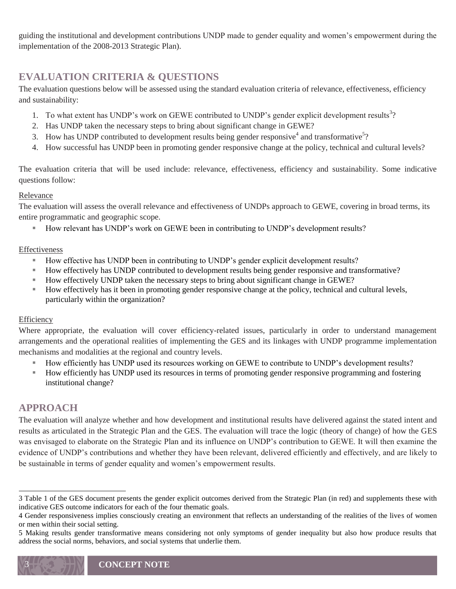guiding the institutional and development contributions UNDP made to gender equality and women's empowerment during the implementation of the 2008-2013 Strategic Plan).

# **EVALUATION CRITERIA & QUESTIONS**

The evaluation questions below will be assessed using the standard evaluation criteria of relevance, effectiveness, efficiency and sustainability:

- 1. To what extent has UNDP's work on GEWE contributed to UNDP's gender explicit development results<sup>3</sup>?
- 2. Has UNDP taken the necessary steps to bring about significant change in GEWE?
- 3. How has UNDP contributed to development results being gender responsive<sup>4</sup> and transformative<sup>5</sup>?
- 4. How successful has UNDP been in promoting gender responsive change at the policy, technical and cultural levels?

The evaluation criteria that will be used include: relevance, effectiveness, efficiency and sustainability. Some indicative questions follow:

#### Relevance

The evaluation will assess the overall relevance and effectiveness of UNDPs approach to GEWE, covering in broad terms, its entire programmatic and geographic scope.

How relevant has UNDP's work on GEWE been in contributing to UNDP's development results?

#### Effectiveness

- How effective has UNDP been in contributing to UNDP's gender explicit development results?
- How effectively has UNDP contributed to development results being gender responsive and transformative?
- How effectively UNDP taken the necessary steps to bring about significant change in GEWE?
- How effectively has it been in promoting gender responsive change at the policy, technical and cultural levels, particularly within the organization?

#### Efficiency

Where appropriate, the evaluation will cover efficiency-related issues, particularly in order to understand management arrangements and the operational realities of implementing the GES and its linkages with UNDP programme implementation mechanisms and modalities at the regional and country levels.

- How efficiently has UNDP used its resources working on GEWE to contribute to UNDP's development results?
- How efficiently has UNDP used its resources in terms of promoting gender responsive programming and fostering institutional change?

## **APPROACH**

 $\overline{\phantom{a}}$ 

The evaluation will analyze whether and how development and institutional results have delivered against the stated intent and results as articulated in the Strategic Plan and the GES. The evaluation will trace the logic (theory of change) of how the GES was envisaged to elaborate on the Strategic Plan and its influence on UNDP's contribution to GEWE. It will then examine the evidence of UNDP's contributions and whether they have been relevant, delivered efficiently and effectively, and are likely to be sustainable in terms of gender equality and women's empowerment results.

<sup>3</sup> Table 1 of the GES document presents the gender explicit outcomes derived from the Strategic Plan (in red) and supplements these with indicative GES outcome indicators for each of the four thematic goals.

<sup>4</sup> Gender responsiveness implies consciously creating an environment that reflects an understanding of the realities of the lives of women or men within their social setting.

<sup>5</sup> Making results gender transformative means considering not only symptoms of gender inequality but also how produce results that address the social norms, behaviors, and social systems that underlie them.